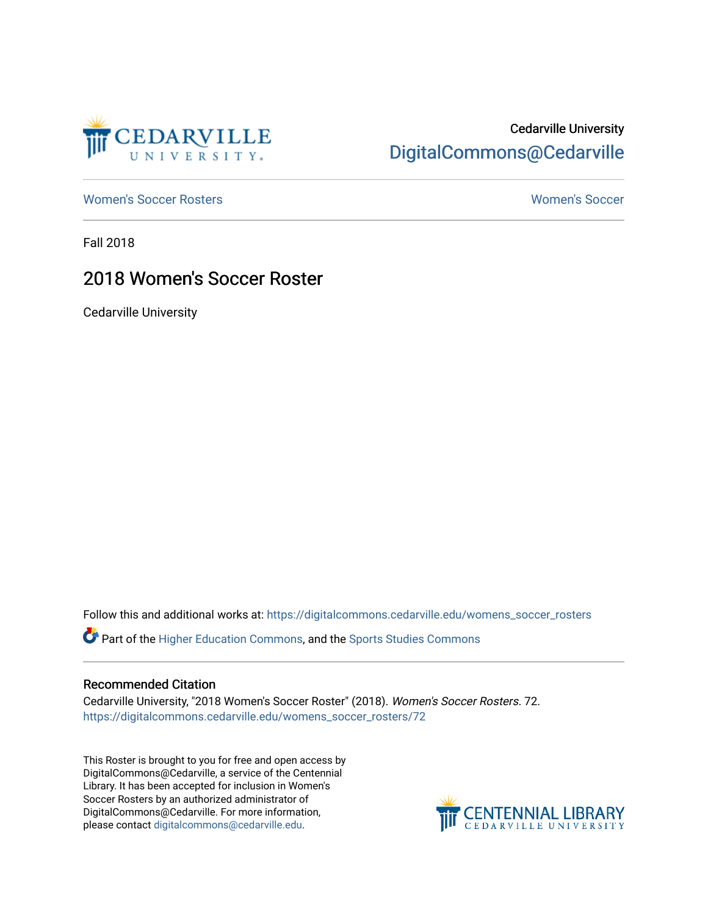

## Cedarville University [DigitalCommons@Cedarville](https://digitalcommons.cedarville.edu/)

[Women's Soccer Rosters](https://digitalcommons.cedarville.edu/womens_soccer_rosters) [Women's Soccer](https://digitalcommons.cedarville.edu/womens_soccer) 

Fall 2018

## 2018 Women's Soccer Roster

Cedarville University

Follow this and additional works at: [https://digitalcommons.cedarville.edu/womens\\_soccer\\_rosters](https://digitalcommons.cedarville.edu/womens_soccer_rosters?utm_source=digitalcommons.cedarville.edu%2Fwomens_soccer_rosters%2F72&utm_medium=PDF&utm_campaign=PDFCoverPages) 

Part of the [Higher Education Commons,](http://network.bepress.com/hgg/discipline/1245?utm_source=digitalcommons.cedarville.edu%2Fwomens_soccer_rosters%2F72&utm_medium=PDF&utm_campaign=PDFCoverPages) and the [Sports Studies Commons](http://network.bepress.com/hgg/discipline/1198?utm_source=digitalcommons.cedarville.edu%2Fwomens_soccer_rosters%2F72&utm_medium=PDF&utm_campaign=PDFCoverPages) 

### Recommended Citation

Cedarville University, "2018 Women's Soccer Roster" (2018). Women's Soccer Rosters. 72. [https://digitalcommons.cedarville.edu/womens\\_soccer\\_rosters/72](https://digitalcommons.cedarville.edu/womens_soccer_rosters/72?utm_source=digitalcommons.cedarville.edu%2Fwomens_soccer_rosters%2F72&utm_medium=PDF&utm_campaign=PDFCoverPages)

This Roster is brought to you for free and open access by DigitalCommons@Cedarville, a service of the Centennial Library. It has been accepted for inclusion in Women's Soccer Rosters by an authorized administrator of DigitalCommons@Cedarville. For more information, please contact [digitalcommons@cedarville.edu](mailto:digitalcommons@cedarville.edu).

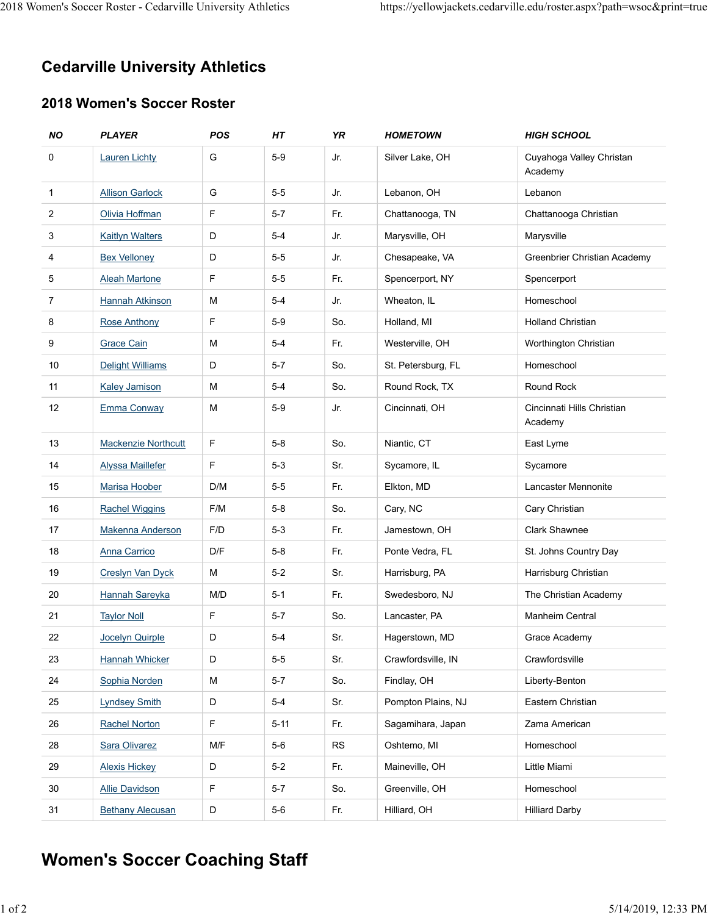# Cedarville University Athletics 2018 Women's Soccer Roster - Cedarville University Athletics https://yellowjackets.cedarville.edu/roster.aspx?path=wsoc&print=true<br> **Cedarville University Athletics**

## 2018 Women's Soccer Roster

|                                                                      | men's Soccer Roster - Cedarville University Athletics |             |          |            |                    |                                                                       |  |  |
|----------------------------------------------------------------------|-------------------------------------------------------|-------------|----------|------------|--------------------|-----------------------------------------------------------------------|--|--|
|                                                                      |                                                       |             |          |            |                    | https://yellowjackets.cedarville.edu/roster.aspx?path=wsoc&print=true |  |  |
|                                                                      |                                                       |             |          |            |                    |                                                                       |  |  |
|                                                                      |                                                       |             |          |            |                    |                                                                       |  |  |
| <b>Cedarville University Athletics</b><br>2018 Women's Soccer Roster |                                                       |             |          |            |                    |                                                                       |  |  |
|                                                                      |                                                       |             |          |            |                    |                                                                       |  |  |
| 0                                                                    | <b>Lauren Lichty</b>                                  | G           | $5-9$    | Jr.        | Silver Lake, OH    | Cuyahoga Valley Christan                                              |  |  |
|                                                                      |                                                       |             |          |            |                    | Academy                                                               |  |  |
| $\mathbf{1}$                                                         | <b>Allison Garlock</b>                                | G           | $5-5$    | Jr.        | Lebanon, OH        | Lebanon                                                               |  |  |
| $\overline{2}$                                                       | Olivia Hoffman                                        | $\mathsf F$ | $5 - 7$  | Fr.        | Chattanooga, TN    | Chattanooga Christian                                                 |  |  |
| 3                                                                    | <b>Kaitlyn Walters</b>                                | D           | $5 - 4$  | Jr.        | Marysville, OH     | Marysville                                                            |  |  |
| 4                                                                    | <b>Bex Velloney</b>                                   | D           | $5-5$    | Jr.        | Chesapeake, VA     | Greenbrier Christian Academy                                          |  |  |
| 5                                                                    | <b>Aleah Martone</b>                                  | F.          | $5-5$    | Fr.        | Spencerport, NY    | Spencerport                                                           |  |  |
| $\overline{7}$                                                       | Hannah Atkinson                                       | М           | $5-4$    | Jr.        | Wheaton, IL        | Homeschool                                                            |  |  |
| 8                                                                    | <b>Rose Anthony</b>                                   | $\mathsf F$ | $5-9$    | So.        | Holland, MI        | <b>Holland Christian</b>                                              |  |  |
| 9                                                                    | <b>Grace Cain</b>                                     | М           | $5-4$    | Fr.        | Westerville, OH    | Worthington Christian                                                 |  |  |
| 10                                                                   | <b>Delight Williams</b>                               | D           | $5 - 7$  | So.        | St. Petersburg, FL | Homeschool                                                            |  |  |
| 11                                                                   | <b>Kaley Jamison</b>                                  | ${\sf M}$   | $5-4$    | So.        | Round Rock, TX     | Round Rock                                                            |  |  |
| 12                                                                   | <b>Emma Conway</b>                                    | M           | $5-9$    | Jr.        | Cincinnati, OH     | Cincinnati Hills Christian<br>Academy                                 |  |  |
| 13                                                                   | <b>Mackenzie Northcutt</b>                            | F           | $5-8$    | So.        | Niantic, CT        | East Lyme                                                             |  |  |
| 14                                                                   | <b>Alyssa Maillefer</b>                               | F.          | $5-3$    | Sr.        | Sycamore, IL       | Sycamore                                                              |  |  |
| 15                                                                   | Marisa Hoober                                         | D/M         | $5-5$    | Fr.        | Elkton, MD         | Lancaster Mennonite                                                   |  |  |
| 16                                                                   | <b>Rachel Wiggins</b>                                 | F/M         | $5-8$    | So.        | Cary, NC           | Cary Christian                                                        |  |  |
| 17                                                                   | <b>Makenna Anderson</b>                               | F/D         | $5-3$    | Fr.        | Jamestown, OH      | Clark Shawnee                                                         |  |  |
| 18                                                                   | Anna Carrico                                          | D/F         | $5-8$    | Fr.        | Ponte Vedra, FL    | St. Johns Country Day                                                 |  |  |
| 19                                                                   | Creslyn Van Dyck                                      | M           | $5-2$    | Sr.        | Harrisburg, PA     | Harrisburg Christian                                                  |  |  |
| 20                                                                   | Hannah Sareyka                                        | M/D         | $5 - 1$  | Fr.        | Swedesboro, NJ     | The Christian Academy                                                 |  |  |
| 21                                                                   | <b>Taylor Noll</b>                                    | $\mathsf F$ | $5 - 7$  | So.        | Lancaster, PA      | Manheim Central                                                       |  |  |
| 22                                                                   | Jocelyn Quirple                                       | D           | $5-4$    | Sr.        | Hagerstown, MD     | Grace Academy                                                         |  |  |
| 23                                                                   | Hannah Whicker                                        | D           | $5-5$    | Sr.        | Crawfordsville, IN | Crawfordsville                                                        |  |  |
| 24                                                                   | Sophia Norden                                         | M           | $5 - 7$  | So.        | Findlay, OH        | Liberty-Benton                                                        |  |  |
| 25                                                                   | <b>Lyndsey Smith</b>                                  | D           | $5-4$    | Sr.        | Pompton Plains, NJ | Eastern Christian                                                     |  |  |
| 26                                                                   | <b>Rachel Norton</b>                                  | $\mathsf F$ | $5 - 11$ | Fr.        | Sagamihara, Japan  | Zama American                                                         |  |  |
| 28                                                                   | Sara Olivarez                                         | M/F         | $5-6$    | ${\sf RS}$ | Oshtemo, MI        | Homeschool                                                            |  |  |
| 29                                                                   | <b>Alexis Hickey</b>                                  | $\mathsf D$ | $5-2$    | Fr.        | Maineville, OH     | Little Miami                                                          |  |  |
| 30                                                                   | <b>Allie Davidson</b>                                 | $\mathsf F$ | $5 - 7$  | So.        | Greenville, OH     | Homeschool                                                            |  |  |
| 31                                                                   | <b>Bethany Alecusan</b>                               | D           | $5-6$    | Fr.        | Hilliard, OH       | <b>Hilliard Darby</b>                                                 |  |  |

# Women's Soccer Coaching Staff